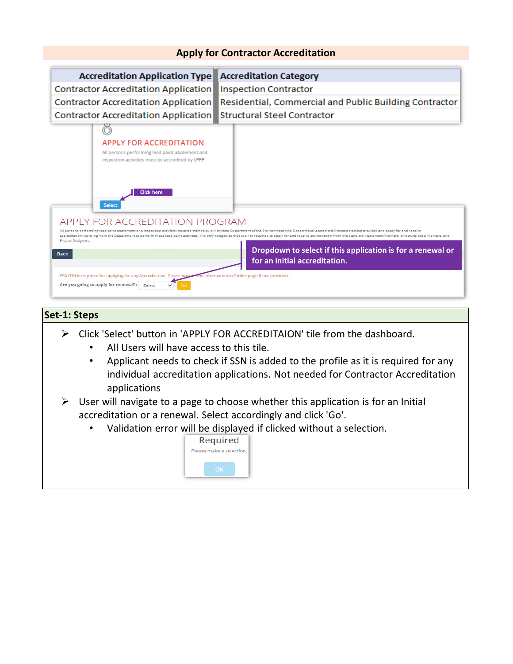

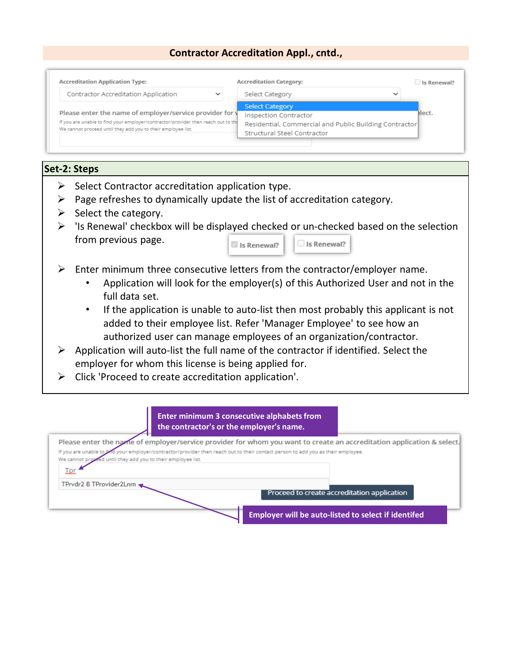## **Contractor Accreditation Appl., cntd.,**

| <b>Accreditation Application Type:</b>                                            |             | <b>Accreditation Category:</b>                         | Is Renewal? |
|-----------------------------------------------------------------------------------|-------------|--------------------------------------------------------|-------------|
| Contractor Accreditation Application                                              | $\check{ }$ | Select Category<br>$\checkmark$                        |             |
|                                                                                   |             | <b>Select Category</b>                                 |             |
| Please enter the name of employer/service provider for y                          |             | <b>Inspection Contractor</b>                           | elect.      |
| If you are unable to find your employer/contractor/provider then reach out to the |             | Residential, Commercial and Public Building Contractor |             |
| We cannot proceed until they add you to their employee list.                      |             | <b>Structural Steel Contractor</b>                     |             |

## **Set-2: Steps**

- $\triangleright$  Select Contractor accreditation application type.
- $\triangleright$  Page refreshes to dynamically update the list of accreditation category.
- $\triangleright$  Select the category.
- $\triangleright$  'Is Renewal' checkbox will be displayed checked or un-checked based on the selection from previous page. Is Renewal? Is Renewal?
- $\triangleright$  Enter minimum three consecutive letters from the contractor/employer name.
	- Application will look for the employer(s) of this Authorized User and not in the full data set.
	- If the application is unable to auto-list then most probably this applicant is not added to their employee list. Refer 'Manager Employee' to see how an authorized user can manage employees of an organization/contractor.
- $\triangleright$  Application will auto-list the full name of the contractor if identified. Select the employer for whom this license is being applied for.
- $\triangleright$  Click 'Proceed to create accreditation application'.

| <b>Enter minimum 3 consecutive alphabets from</b><br>the contractor's or the employer's name.                                                                                                                                                            |
|----------------------------------------------------------------------------------------------------------------------------------------------------------------------------------------------------------------------------------------------------------|
| Please enter the name of employer/service provider for whom you want to create an accreditation application & select.<br>If you are unable to and your employer/contractor/provider then reach out to their contact person to add you as their employee. |
| We cannot proceed until they add you to their employee list.<br><u>I pr</u>                                                                                                                                                                              |
| TPrvdr2 B TProvider2Lnm<br>Proceed to create accreditation application                                                                                                                                                                                   |
| <b>Employer will be auto-listed to select if identifed</b>                                                                                                                                                                                               |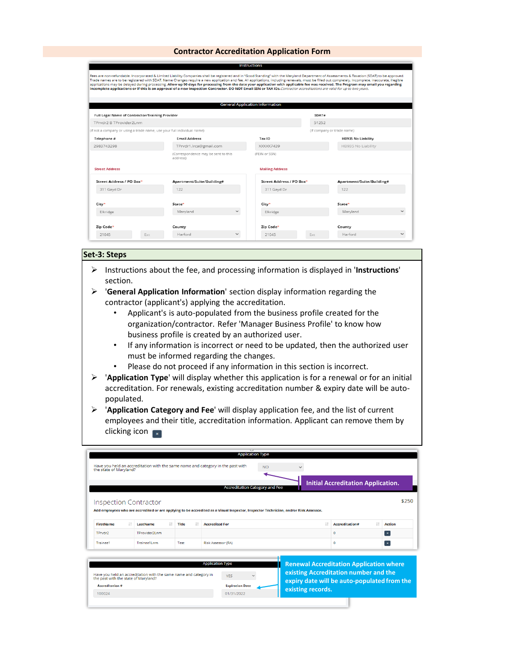|                                                                         |                                                                                                                                                                                                                                                                                                                                                                                                                                                                                                                                                                                                                                                                                                                                                                      |                        | <b>Instructions</b>                    |           |                            |              |
|-------------------------------------------------------------------------|----------------------------------------------------------------------------------------------------------------------------------------------------------------------------------------------------------------------------------------------------------------------------------------------------------------------------------------------------------------------------------------------------------------------------------------------------------------------------------------------------------------------------------------------------------------------------------------------------------------------------------------------------------------------------------------------------------------------------------------------------------------------|------------------------|----------------------------------------|-----------|----------------------------|--------------|
|                                                                         | Fees are non-refundable. Incorporated & Limited Liability Companies shall be registered and in "Good Standing" with the Maryland Department of Assessments & Taxation (SDAT) to be approved.<br>Trade names are to be registered with SDAT. Name Changes require a new application and fee. All applications, including renewals, must be filled out completely. Incomplete, inaccurate, illegible<br>applications may be delayed during processing. Allow up 90 days for processing from the date your application with applicable fee was received. The Program may email you regarding<br>incomplete applications or if this is an approval of a new Inspection Contractor. DO NOT Email SSN or TAX IDs. Contractor accreditations are valid for up to two years. |                        |                                        |           |                            |              |
|                                                                         |                                                                                                                                                                                                                                                                                                                                                                                                                                                                                                                                                                                                                                                                                                                                                                      |                        | <b>General Application Information</b> |           |                            |              |
| Full Legal Name of Contractor/Training Provider                         |                                                                                                                                                                                                                                                                                                                                                                                                                                                                                                                                                                                                                                                                                                                                                                      |                        |                                        | SDAT#     |                            |              |
| TPrvdr2 B TProvider2Lnm                                                 |                                                                                                                                                                                                                                                                                                                                                                                                                                                                                                                                                                                                                                                                                                                                                                      |                        |                                        | 51252     |                            |              |
| (if not a company or using a trade name, use your full individual name) |                                                                                                                                                                                                                                                                                                                                                                                                                                                                                                                                                                                                                                                                                                                                                                      |                        |                                        |           | (if company or trade name) |              |
| Telephone #                                                             | <b>Email Address</b>                                                                                                                                                                                                                                                                                                                                                                                                                                                                                                                                                                                                                                                                                                                                                 |                        | Tax ID                                 |           | <b>HB935 No Liability</b>  |              |
| 2983743298                                                              |                                                                                                                                                                                                                                                                                                                                                                                                                                                                                                                                                                                                                                                                                                                                                                      | TPrvdr1.lrca@gmail.com |                                        | XXXXX7439 |                            |              |
|                                                                         | (Correspondence may be sent to this<br>address)                                                                                                                                                                                                                                                                                                                                                                                                                                                                                                                                                                                                                                                                                                                      |                        | (FEIN or SSN)                          |           |                            |              |
| <b>Street Address</b>                                                   |                                                                                                                                                                                                                                                                                                                                                                                                                                                                                                                                                                                                                                                                                                                                                                      |                        | <b>Mailing Address</b>                 |           |                            |              |
| Street Address / PO Box*                                                | Apartment/Suite/Building#                                                                                                                                                                                                                                                                                                                                                                                                                                                                                                                                                                                                                                                                                                                                            |                        | Street Address / PO Box*               |           | Apartment/Suite/Building#  |              |
| 311 Gayd Dr                                                             | 122                                                                                                                                                                                                                                                                                                                                                                                                                                                                                                                                                                                                                                                                                                                                                                  |                        | 311 Gayd Dr                            |           | 122                        |              |
| City*                                                                   | State*                                                                                                                                                                                                                                                                                                                                                                                                                                                                                                                                                                                                                                                                                                                                                               |                        | City*                                  |           | State*                     |              |
| Elkridge                                                                | Maryland                                                                                                                                                                                                                                                                                                                                                                                                                                                                                                                                                                                                                                                                                                                                                             | $\checkmark$           | Elkridge                               |           | Maryland                   | $\checkmark$ |
| Zip Code*                                                               | County                                                                                                                                                                                                                                                                                                                                                                                                                                                                                                                                                                                                                                                                                                                                                               |                        | Zip Code*                              |           | County                     |              |
| 21045<br>Ext                                                            | Harford                                                                                                                                                                                                                                                                                                                                                                                                                                                                                                                                                                                                                                                                                                                                                              | $\checkmark$           | 21045                                  | Fxt.      | Harford                    | $\checkmark$ |

### **Set-3: Steps**

- Instructions about the fee, and processing information is displayed in '**Instructions**' section.
- '**General Application Information**' section display information regarding the contractor (applicant's) applying the accreditation.
	- Applicant's is auto-populated from the business profile created for the organization/contractor. Refer 'Manager Business Profile' to know how business profile is created by an authorized user.
	- If any information is incorrect or need to be updated, then the authorized user must be informed regarding the changes.
	- Please do not proceed if any information in this section is incorrect.
- '**Application Type**' will display whether this application is for a renewal or for an initial accreditation. For renewals, existing accreditation number & expiry date will be autopopulated.
- '**Application Category and Fee**' will display application fee, and the list of current employees and their title, accreditation information. Applicant can remove them by clicking icon  $\sqrt{\frac{1}{x}}$

|                                                                                                                                     |                 |                     | <b>Application Type</b>                                                                                                              |     |                   |                                                                                                                                        |               |
|-------------------------------------------------------------------------------------------------------------------------------------|-----------------|---------------------|--------------------------------------------------------------------------------------------------------------------------------------|-----|-------------------|----------------------------------------------------------------------------------------------------------------------------------------|---------------|
| the state of Maryland?                                                                                                              |                 |                     | Have you held an accreditation with the same name and category in the past with                                                      | NO. |                   |                                                                                                                                        |               |
|                                                                                                                                     |                 |                     | <b>Accreditation Category and Fee</b>                                                                                                |     |                   | <b>Initial Accreditation Application.</b>                                                                                              |               |
| <b>Inspection Contractor</b>                                                                                                        |                 |                     |                                                                                                                                      |     |                   |                                                                                                                                        | \$250         |
|                                                                                                                                     |                 |                     | Add employees who are accredited or are applying to be accredited as a Visual Inspector, Inspector Technician, and/or Risk Assessor. |     |                   |                                                                                                                                        |               |
|                                                                                                                                     |                 |                     |                                                                                                                                      |     |                   |                                                                                                                                        |               |
| <b>FirstName</b><br>11                                                                                                              | <b>LastName</b> | 11<br>$1+$<br>Title | <b>Accredited For</b>                                                                                                                |     | It.               | 11<br>Accreditation#                                                                                                                   | <b>Action</b> |
| TPrvdr2                                                                                                                             | TProvider2Lom   |                     |                                                                                                                                      |     |                   | o                                                                                                                                      | $\mathbf{x}$  |
| Trainee1                                                                                                                            | Trainee1Lnm     | Test                | Risk Assessor (RA)                                                                                                                   |     |                   | ٥                                                                                                                                      | $\mathbf{x}$  |
| Have you held an accreditation with the same name and category in<br>the past with the state of Maryland?<br><b>Accreditation #</b> |                 |                     | <b>Application Type</b><br><b>YES</b><br><b>Expiration Date</b>                                                                      |     | existing records. | <b>Renewal Accreditation Application where</b><br>existing Accreditation number and the<br>expiry date will be auto-populated from the |               |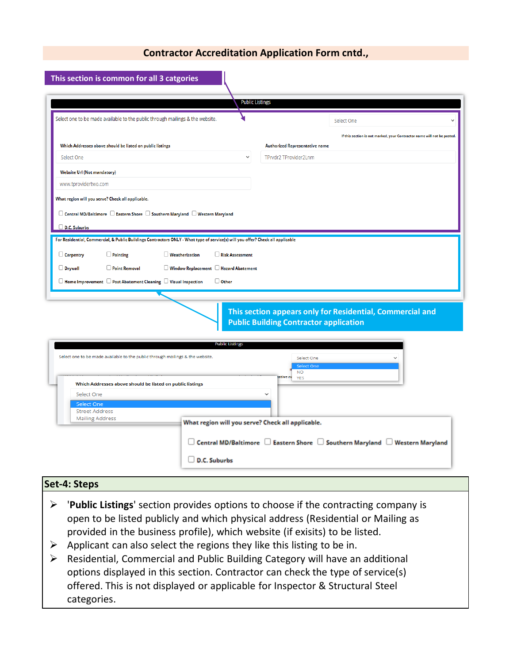|                                                                                                                                                                  | <b>Public Listings</b>                                                                                                          |                                                                                                            |  |
|------------------------------------------------------------------------------------------------------------------------------------------------------------------|---------------------------------------------------------------------------------------------------------------------------------|------------------------------------------------------------------------------------------------------------|--|
| Select one to be made available to the public through mailings & the website.                                                                                    |                                                                                                                                 | Select One                                                                                                 |  |
|                                                                                                                                                                  |                                                                                                                                 | If this section is not marked, your Contractor name will not be posted.                                    |  |
| Which Addresses above should be listed on public listings                                                                                                        |                                                                                                                                 | <b>Authorized Representative name</b>                                                                      |  |
| Select One                                                                                                                                                       |                                                                                                                                 | TPrvdr2 TProvider2Lnm                                                                                      |  |
| <b>Website Url (Not mandatory)</b>                                                                                                                               |                                                                                                                                 |                                                                                                            |  |
| www.tprovidertwo.com                                                                                                                                             |                                                                                                                                 |                                                                                                            |  |
| What region will you serve? Check all applicable.                                                                                                                |                                                                                                                                 |                                                                                                            |  |
| $\Box$ Central MD/Baltimore $\Box$ Eastern Shore $\Box$ Southern Maryland $\Box$ Western Maryland                                                                |                                                                                                                                 |                                                                                                            |  |
|                                                                                                                                                                  |                                                                                                                                 |                                                                                                            |  |
| D.C. Suburbs                                                                                                                                                     |                                                                                                                                 |                                                                                                            |  |
|                                                                                                                                                                  | For Residential, Commercial, & Public Buildings Contractors ONLY - What type of service(s) will you offer? Check all applicable |                                                                                                            |  |
| $\Box$ Painting<br>$\Box$ Carpentry                                                                                                                              | $\Box$ Weatherization<br>Risk Assessment                                                                                        |                                                                                                            |  |
| $\Box$ Drywall<br>$\Box$ Paint Removal                                                                                                                           | Window Replacement Hazard Abatement                                                                                             |                                                                                                            |  |
|                                                                                                                                                                  |                                                                                                                                 |                                                                                                            |  |
|                                                                                                                                                                  | $\Box$ Other                                                                                                                    |                                                                                                            |  |
|                                                                                                                                                                  |                                                                                                                                 |                                                                                                            |  |
|                                                                                                                                                                  |                                                                                                                                 | This section appears only for Residential, Commercial and<br><b>Public Building Contractor application</b> |  |
|                                                                                                                                                                  | <b>Public Listings</b>                                                                                                          |                                                                                                            |  |
|                                                                                                                                                                  |                                                                                                                                 | Select One                                                                                                 |  |
|                                                                                                                                                                  |                                                                                                                                 | Select One                                                                                                 |  |
|                                                                                                                                                                  |                                                                                                                                 | <b>NO</b><br>ative na<br><b>YES</b>                                                                        |  |
| Which Addresses above should be listed on public listings<br>Select One                                                                                          |                                                                                                                                 |                                                                                                            |  |
| <b>Select One</b>                                                                                                                                                |                                                                                                                                 |                                                                                                            |  |
| <b>Street Address</b><br><b>Mailing Address</b>                                                                                                                  |                                                                                                                                 |                                                                                                            |  |
|                                                                                                                                                                  | What region will you serve? Check all applicable.                                                                               |                                                                                                            |  |
| $\Box$ Home Improvement $\Box$ Post Abatement Cleaning $\Box$ Visual Inspection<br>Select one to be made available to the public through mailings & the website. |                                                                                                                                 |                                                                                                            |  |
|                                                                                                                                                                  |                                                                                                                                 | $\Box$ Central MD/Baltimore $\;\Box$ Eastern Shore $\;\Box$ Southern Maryland $\;\Box$ Western Maryland    |  |

# **Set-4: Steps**

- '**Public Listings**' section provides options to choose if the contracting company is open to be listed publicly and which physical address (Residential or Mailing as provided in the business profile), which website (if exisits) to be listed.
- $\triangleright$  Applicant can also select the regions they like this listing to be in.
- Residential, Commercial and Public Building Category will have an additional options displayed in this section. Contractor can check the type of service(s) offered. This is not displayed or applicable for Inspector & Structural Steel categories.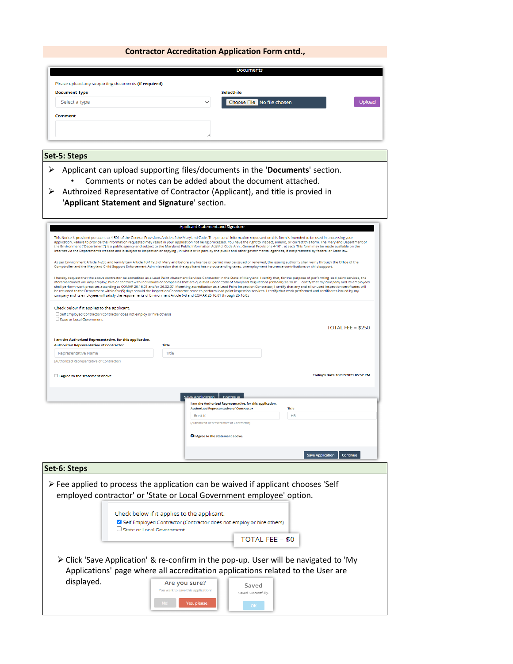|                                                                                                                        | <b>Documents</b>                                                                                                                                                                                                                                                                                                                                                                                                                                                                                                                                                                                                                                                                                                                                                                                                               |
|------------------------------------------------------------------------------------------------------------------------|--------------------------------------------------------------------------------------------------------------------------------------------------------------------------------------------------------------------------------------------------------------------------------------------------------------------------------------------------------------------------------------------------------------------------------------------------------------------------------------------------------------------------------------------------------------------------------------------------------------------------------------------------------------------------------------------------------------------------------------------------------------------------------------------------------------------------------|
| Please upload any supporting documents (if required)                                                                   |                                                                                                                                                                                                                                                                                                                                                                                                                                                                                                                                                                                                                                                                                                                                                                                                                                |
| <b>Document Type</b>                                                                                                   | <b>SelectFile</b>                                                                                                                                                                                                                                                                                                                                                                                                                                                                                                                                                                                                                                                                                                                                                                                                              |
| Select a type                                                                                                          | Choose File No file chosen<br>Upload                                                                                                                                                                                                                                                                                                                                                                                                                                                                                                                                                                                                                                                                                                                                                                                           |
|                                                                                                                        |                                                                                                                                                                                                                                                                                                                                                                                                                                                                                                                                                                                                                                                                                                                                                                                                                                |
| Comment                                                                                                                |                                                                                                                                                                                                                                                                                                                                                                                                                                                                                                                                                                                                                                                                                                                                                                                                                                |
|                                                                                                                        |                                                                                                                                                                                                                                                                                                                                                                                                                                                                                                                                                                                                                                                                                                                                                                                                                                |
|                                                                                                                        |                                                                                                                                                                                                                                                                                                                                                                                                                                                                                                                                                                                                                                                                                                                                                                                                                                |
|                                                                                                                        |                                                                                                                                                                                                                                                                                                                                                                                                                                                                                                                                                                                                                                                                                                                                                                                                                                |
| Set-5: Steps                                                                                                           |                                                                                                                                                                                                                                                                                                                                                                                                                                                                                                                                                                                                                                                                                                                                                                                                                                |
| ⋗<br>'Applicant Statement and Signature' section.                                                                      | Applicant can upload supporting files/documents in the 'Documents' section.<br>Comments or notes can be added about the document attached.<br>Authroized Representative of Contractor (Applicant), and title is provied in                                                                                                                                                                                                                                                                                                                                                                                                                                                                                                                                                                                                     |
|                                                                                                                        | <b>Applicant Statement and Signature</b>                                                                                                                                                                                                                                                                                                                                                                                                                                                                                                                                                                                                                                                                                                                                                                                       |
|                                                                                                                        | This Notice is provided pursuant to 4-501 of the General Provisions Article of the Maryland Code. The personal information requested on this form is intended to be used in processing your                                                                                                                                                                                                                                                                                                                                                                                                                                                                                                                                                                                                                                    |
|                                                                                                                        | application. Failure to provide the information requested may result in your application not being processed. You have the right to inspect, amend, or correct this form. The Maryland Department of<br>the Environment ("Department") is a public agency and subject to the Maryland Public Information Act(Md. Code Ann., General Provisions 4-101. et seq). This form may be made available on the<br>internet via the Department's website and is subject to inspection or copying, in whole or in part, by the public and other governmental agencies, if not protected by federal or State law.                                                                                                                                                                                                                          |
|                                                                                                                        |                                                                                                                                                                                                                                                                                                                                                                                                                                                                                                                                                                                                                                                                                                                                                                                                                                |
|                                                                                                                        | As per Environment Article 1-203 and Family Law Article 10-119.3 of Maryland before any license or permit may be issued or renewed, the issuing authority shall verify through the Office of the<br>Comptroller and the Maryland Child Support Enforcement Administration that the applicant has no outstanding taxes, unemployment insurance contributions or child support.                                                                                                                                                                                                                                                                                                                                                                                                                                                  |
| company and its employees will satisfy the requirements of Environment Article 6-8 and COMAR 26.16.01 through 26.16.05 | I hereby request that the above contractor be accredited as a Lead Paint Abatement Services Contractor in the State of Maryland. I certify that, for the purpose of performing lead paint services, the<br>aforementioned will only employ, hire or contract with individuals or companies that are qualified under Code of Maryland Regulations (COMAR) 26.16.01. I certify that my company and its employees<br>shall perform work practices according to COMAR 26.16.01 and/or 26.02.07. If seeking accreditation as a Lead Paint Inspection Contractor; I certify that any and all unused inspection certificates will<br>be returned to the Department within five(5) days should the Inspection Coontractor cease to perform lead paint inspection services. I certify that work performed and certificates issued by my |
|                                                                                                                        |                                                                                                                                                                                                                                                                                                                                                                                                                                                                                                                                                                                                                                                                                                                                                                                                                                |
| Check below if it applies to the applicant.<br>Self Employed Contractor (Contractor does not employ or hire others)    |                                                                                                                                                                                                                                                                                                                                                                                                                                                                                                                                                                                                                                                                                                                                                                                                                                |
| State or Local Government.                                                                                             |                                                                                                                                                                                                                                                                                                                                                                                                                                                                                                                                                                                                                                                                                                                                                                                                                                |
|                                                                                                                        | TOTAL FEE = $$250$                                                                                                                                                                                                                                                                                                                                                                                                                                                                                                                                                                                                                                                                                                                                                                                                             |
| I am the Authorized Representative, for this application.                                                              |                                                                                                                                                                                                                                                                                                                                                                                                                                                                                                                                                                                                                                                                                                                                                                                                                                |
| <b>Authorized Representative of Contractor</b>                                                                         | <b>Title</b>                                                                                                                                                                                                                                                                                                                                                                                                                                                                                                                                                                                                                                                                                                                                                                                                                   |
| <b>Representative Name</b><br>(Authorized Representative of Contractor)                                                | <b>Title</b>                                                                                                                                                                                                                                                                                                                                                                                                                                                                                                                                                                                                                                                                                                                                                                                                                   |
|                                                                                                                        |                                                                                                                                                                                                                                                                                                                                                                                                                                                                                                                                                                                                                                                                                                                                                                                                                                |
| I Agree to the statement above.                                                                                        | Today's Date 10/17/2021 05:52 PM                                                                                                                                                                                                                                                                                                                                                                                                                                                                                                                                                                                                                                                                                                                                                                                               |
|                                                                                                                        |                                                                                                                                                                                                                                                                                                                                                                                                                                                                                                                                                                                                                                                                                                                                                                                                                                |
|                                                                                                                        | Save Application Continue                                                                                                                                                                                                                                                                                                                                                                                                                                                                                                                                                                                                                                                                                                                                                                                                      |
|                                                                                                                        |                                                                                                                                                                                                                                                                                                                                                                                                                                                                                                                                                                                                                                                                                                                                                                                                                                |
|                                                                                                                        | I am the Authorized Representative, for this application.<br><b>Authorized Representative of Contractor</b><br><b>Title</b>                                                                                                                                                                                                                                                                                                                                                                                                                                                                                                                                                                                                                                                                                                    |
|                                                                                                                        | <b>HR</b><br><b>Brett K</b>                                                                                                                                                                                                                                                                                                                                                                                                                                                                                                                                                                                                                                                                                                                                                                                                    |
|                                                                                                                        | (Authorized Representative of Contractor)                                                                                                                                                                                                                                                                                                                                                                                                                                                                                                                                                                                                                                                                                                                                                                                      |
|                                                                                                                        | I Agree to the statement above.                                                                                                                                                                                                                                                                                                                                                                                                                                                                                                                                                                                                                                                                                                                                                                                                |
|                                                                                                                        |                                                                                                                                                                                                                                                                                                                                                                                                                                                                                                                                                                                                                                                                                                                                                                                                                                |
|                                                                                                                        | Save Application<br>Continue                                                                                                                                                                                                                                                                                                                                                                                                                                                                                                                                                                                                                                                                                                                                                                                                   |
|                                                                                                                        |                                                                                                                                                                                                                                                                                                                                                                                                                                                                                                                                                                                                                                                                                                                                                                                                                                |
|                                                                                                                        |                                                                                                                                                                                                                                                                                                                                                                                                                                                                                                                                                                                                                                                                                                                                                                                                                                |
|                                                                                                                        |                                                                                                                                                                                                                                                                                                                                                                                                                                                                                                                                                                                                                                                                                                                                                                                                                                |
|                                                                                                                        | $\triangleright$ Fee applied to process the application can be waived if applicant chooses 'Self                                                                                                                                                                                                                                                                                                                                                                                                                                                                                                                                                                                                                                                                                                                               |
|                                                                                                                        | employed contractor' or 'State or Local Government employee' option.                                                                                                                                                                                                                                                                                                                                                                                                                                                                                                                                                                                                                                                                                                                                                           |
|                                                                                                                        |                                                                                                                                                                                                                                                                                                                                                                                                                                                                                                                                                                                                                                                                                                                                                                                                                                |
|                                                                                                                        | Check below if it applies to the applicant.                                                                                                                                                                                                                                                                                                                                                                                                                                                                                                                                                                                                                                                                                                                                                                                    |
| State or Local Government.                                                                                             | Self Employed Contractor (Contractor does not employ or hire others)                                                                                                                                                                                                                                                                                                                                                                                                                                                                                                                                                                                                                                                                                                                                                           |
|                                                                                                                        | TOTAL FEE = $$0$                                                                                                                                                                                                                                                                                                                                                                                                                                                                                                                                                                                                                                                                                                                                                                                                               |
|                                                                                                                        |                                                                                                                                                                                                                                                                                                                                                                                                                                                                                                                                                                                                                                                                                                                                                                                                                                |
|                                                                                                                        |                                                                                                                                                                                                                                                                                                                                                                                                                                                                                                                                                                                                                                                                                                                                                                                                                                |
|                                                                                                                        | > Click 'Save Application' & re-confirm in the pop-up. User will be navigated to 'My                                                                                                                                                                                                                                                                                                                                                                                                                                                                                                                                                                                                                                                                                                                                           |
|                                                                                                                        | Applications' page where all accreditation applications related to the User are                                                                                                                                                                                                                                                                                                                                                                                                                                                                                                                                                                                                                                                                                                                                                |
| Set-6: Steps<br>displayed.                                                                                             | Are you sure?<br>Saved                                                                                                                                                                                                                                                                                                                                                                                                                                                                                                                                                                                                                                                                                                                                                                                                         |
|                                                                                                                        | You want to save this application!<br>Saved Successfully.                                                                                                                                                                                                                                                                                                                                                                                                                                                                                                                                                                                                                                                                                                                                                                      |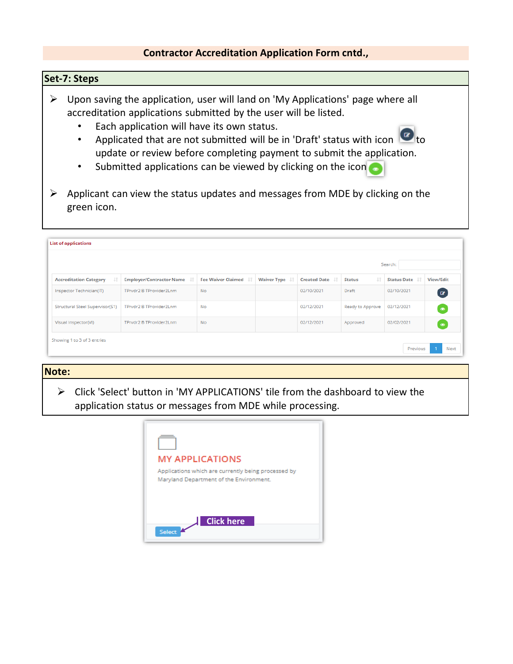### **Set-7: Steps**

- $\triangleright$  Upon saving the application, user will land on 'My Applications' page where all accreditation applications submitted by the user will be listed.
	- Each application will have its own status.
	- Applicated that are not submitted will be in 'Draft' status with icon  $\Box$  to update or review before completing payment to submit the application.
	- Submitted applications can be viewed by clicking on the icon
- $\triangleright$  Applicant can view the status updates and messages from MDE by clicking on the green icon.

|                                     |                                 |                              |                    |                        |                      | Search:            |                  |
|-------------------------------------|---------------------------------|------------------------------|--------------------|------------------------|----------------------|--------------------|------------------|
| Jî<br><b>Accreditation Category</b> | <b>Employer/Contractor Name</b> | <b>Fee Waiver Claimed Li</b> | <b>Waiver Type</b> | <b>Created Date</b> IT | LT.<br><b>Status</b> | <b>Status Date</b> | <b>View/Edit</b> |
| Inspector Technician(IT)            | TPrvdr2 B TProvider2Lnm         | <b>No</b>                    |                    | 02/10/2021             | Draft                | 02/10/2021         | $\bullet$        |
| Structural Steel Supervisor(S1)     | TPrvdr2 B TProvider2Lnm         | <b>No</b>                    |                    | 02/12/2021             | Ready to Approve     | 02/12/2021         | $\bullet$        |
| Visual Inspector(VI)                | TPrvdr2 B TProvider2Lnm         | No                           |                    | 02/12/2021             | Approved             | 02/02/2021         | $\bullet$        |

### **Note:**

 $\triangleright$  Click 'Select' button in 'MY APPLICATIONS' tile from the dashboard to view the application status or messages from MDE while processing.

| <b>MY APPLICATIONS</b>                                                                         |
|------------------------------------------------------------------------------------------------|
| Applications which are currently being processed by<br>Maryland Department of the Environment. |
|                                                                                                |
|                                                                                                |
| <b>Click here</b>                                                                              |
| Select                                                                                         |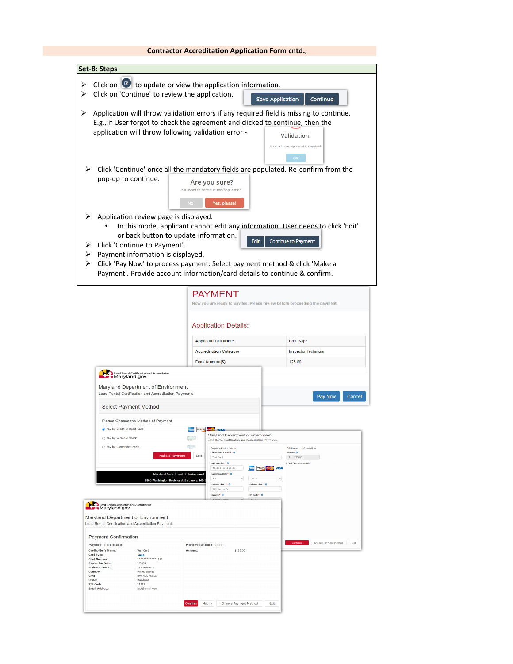| Set-8: Steps                                                                                                                                                              |                                                                                                                                                                                                                                                   |                                                         |
|---------------------------------------------------------------------------------------------------------------------------------------------------------------------------|---------------------------------------------------------------------------------------------------------------------------------------------------------------------------------------------------------------------------------------------------|---------------------------------------------------------|
|                                                                                                                                                                           | Click on $\Box$ to update or view the application information.                                                                                                                                                                                    |                                                         |
| Click on 'Continue' to review the application.                                                                                                                            |                                                                                                                                                                                                                                                   | <b>Save Application</b><br>Continue                     |
| ➤<br>application will throw following validation error -                                                                                                                  | Application will throw validation errors if any required field is missing to continue.<br>E.g., if User forgot to check the agreement and clicked to continue, then the                                                                           | <b>Validation!</b><br>Your acknowledgement is required. |
|                                                                                                                                                                           |                                                                                                                                                                                                                                                   | OK                                                      |
| pop-up to continue.                                                                                                                                                       | Click 'Continue' once all the mandatory fields are populated. Re-confirm from the<br>Are you sure?<br>You want to continue this application!<br>No!<br>Yes, please!                                                                               |                                                         |
| Application review page is displayed.<br>or back button to update information.<br>Click 'Continue to Payment'.<br>Payment information is displayed.<br>⋗                  | In this mode, applicant cannot edit any information. User needs to click 'Edit'<br>Edit<br>Click 'Pay Now' to process payment. Select payment method & click 'Make a<br>Payment'. Provide account information/card details to continue & confirm. | <b>Continue to Payment</b>                              |
|                                                                                                                                                                           | <b>PAYMENT</b><br>Now you are ready to pay fee. Please review before proceeding the payment.<br><b>Application Details:</b>                                                                                                                       |                                                         |
|                                                                                                                                                                           | <b>Applicant Full Name</b>                                                                                                                                                                                                                        |                                                         |
|                                                                                                                                                                           |                                                                                                                                                                                                                                                   | <b>Brett Klipz</b>                                      |
|                                                                                                                                                                           | <b>Accreditation Category</b>                                                                                                                                                                                                                     | <b>Inspector Technician</b>                             |
|                                                                                                                                                                           | Fee / Amount(\$)                                                                                                                                                                                                                                  | 125.00                                                  |
| Lead Rental Certification and Accreditation<br>Maryland Department of Environment<br>Lead Rental Certification and Accreditation Payments<br><b>Select Payment Method</b> |                                                                                                                                                                                                                                                   | Pay Now<br>Cancel                                       |
| Please Choose the Method of Payment                                                                                                                                       |                                                                                                                                                                                                                                                   |                                                         |
| lay by Credit or Debit Card                                                                                                                                               | DISC VER                                                                                                                                                                                                                                          |                                                         |
| pay by Personal Check                                                                                                                                                     | Department of Environment<br>Lead Rental Certification and Accreditation Payments                                                                                                                                                                 |                                                         |
| Pay by Corporate Check                                                                                                                                                    | S.<br><b>Payment Information</b><br>Cardholder's Name* O                                                                                                                                                                                          | <b>Bill/Invoice Information</b><br>Amount O             |
| Make a Payment                                                                                                                                                            | Exit<br><b>Test Card</b><br>Card Number* 0                                                                                                                                                                                                        | $\sqrt{5}$ = 125.00<br><b>⊟ Bill/Invoice Details</b>    |
| 1800 Washington Boulevard, Baltimore, MD                                                                                                                                  | 411111111111111<br>DISC VIR<br><b>Maryland Department of Environment</b><br>Expiration Date* 0<br>02<br>2023<br>Address Line 1* 0<br>Address Line 2 0<br>512 Henne Dr<br>Country* 0<br>ZIP Code* 0                                                | <b>Montand</b> VIS!                                     |
| Lead Rental Certification and Accreditation<br>Maryland Department of Environment<br>Lead Rental Certification and Accreditation Payments                                 |                                                                                                                                                                                                                                                   |                                                         |
| <b>Payment Confirmation</b>                                                                                                                                               |                                                                                                                                                                                                                                                   |                                                         |
| Payment Information<br><b>Cardholder's Name:</b><br><b>Test Card</b>                                                                                                      | <b>Bill/Invoice Information</b><br>\$125.00<br>Amount:                                                                                                                                                                                            | Change Payment Method<br>Exit                           |
| Card Type:<br><b>VISA</b><br>************1111<br><b>Card Number:</b>                                                                                                      |                                                                                                                                                                                                                                                   |                                                         |
| <b>Expiration Date:</b><br>2/2023<br><b>Address Line 1:</b><br>512 Henne Dr                                                                                               |                                                                                                                                                                                                                                                   |                                                         |
| Country:<br><b>United States</b><br><b>OWINGS MILLS</b><br>City:<br>State:<br>Maryland                                                                                    |                                                                                                                                                                                                                                                   |                                                         |
| <b>ZIP Code:</b><br>21117<br><b>Email Address:</b><br>test@gmail.com                                                                                                      |                                                                                                                                                                                                                                                   |                                                         |
|                                                                                                                                                                           |                                                                                                                                                                                                                                                   |                                                         |
|                                                                                                                                                                           | Confirm<br>Modify<br><b>Change Payment Method</b>                                                                                                                                                                                                 | Exit                                                    |